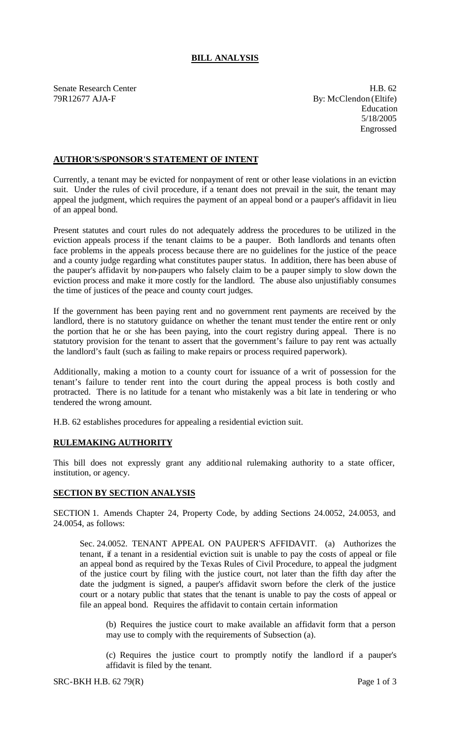## **BILL ANALYSIS**

Senate Research Center **H.B. 62** 79R12677 AJA-F By: McClendon (Eltife)

Education 5/18/2005 Engrossed

## **AUTHOR'S/SPONSOR'S STATEMENT OF INTENT**

Currently, a tenant may be evicted for nonpayment of rent or other lease violations in an eviction suit. Under the rules of civil procedure, if a tenant does not prevail in the suit, the tenant may appeal the judgment, which requires the payment of an appeal bond or a pauper's affidavit in lieu of an appeal bond.

Present statutes and court rules do not adequately address the procedures to be utilized in the eviction appeals process if the tenant claims to be a pauper. Both landlords and tenants often face problems in the appeals process because there are no guidelines for the justice of the peace and a county judge regarding what constitutes pauper status. In addition, there has been abuse of the pauper's affidavit by non-paupers who falsely claim to be a pauper simply to slow down the eviction process and make it more costly for the landlord. The abuse also unjustifiably consumes the time of justices of the peace and county court judges.

If the government has been paying rent and no government rent payments are received by the landlord, there is no statutory guidance on whether the tenant must tender the entire rent or only the portion that he or she has been paying, into the court registry during appeal. There is no statutory provision for the tenant to assert that the government's failure to pay rent was actually the landlord's fault (such as failing to make repairs or process required paperwork).

Additionally, making a motion to a county court for issuance of a writ of possession for the tenant's failure to tender rent into the court during the appeal process is both costly and protracted. There is no latitude for a tenant who mistakenly was a bit late in tendering or who tendered the wrong amount.

H.B. 62 establishes procedures for appealing a residential eviction suit.

## **RULEMAKING AUTHORITY**

This bill does not expressly grant any additional rulemaking authority to a state officer, institution, or agency.

## **SECTION BY SECTION ANALYSIS**

SECTION 1. Amends Chapter 24, Property Code, by adding Sections 24.0052, 24.0053, and 24.0054, as follows:

Sec. 24.0052. TENANT APPEAL ON PAUPER'S AFFIDAVIT. (a) Authorizes the tenant, if a tenant in a residential eviction suit is unable to pay the costs of appeal or file an appeal bond as required by the Texas Rules of Civil Procedure, to appeal the judgment of the justice court by filing with the justice court, not later than the fifth day after the date the judgment is signed, a pauper's affidavit sworn before the clerk of the justice court or a notary public that states that the tenant is unable to pay the costs of appeal or file an appeal bond. Requires the affidavit to contain certain information

(b) Requires the justice court to make available an affidavit form that a person may use to comply with the requirements of Subsection (a).

(c) Requires the justice court to promptly notify the landlord if a pauper's affidavit is filed by the tenant.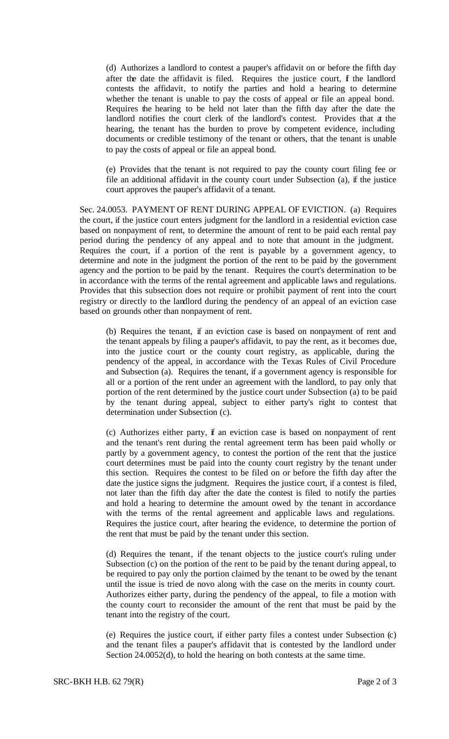(d) Authorizes a landlord to contest a pauper's affidavit on or before the fifth day after the date the affidavit is filed. Requires the justice court,  $f$  the landlord contests the affidavit, to notify the parties and hold a hearing to determine whether the tenant is unable to pay the costs of appeal or file an appeal bond. Requires the hearing to be held not later than the fifth day after the date the landlord notifies the court clerk of the landlord's contest. Provides that at the hearing, the tenant has the burden to prove by competent evidence, including documents or credible testimony of the tenant or others, that the tenant is unable to pay the costs of appeal or file an appeal bond.

(e) Provides that the tenant is not required to pay the county court filing fee or file an additional affidavit in the county court under Subsection (a), if the justice court approves the pauper's affidavit of a tenant.

Sec. 24.0053. PAYMENT OF RENT DURING APPEAL OF EVICTION. (a) Requires the court, if the justice court enters judgment for the landlord in a residential eviction case based on nonpayment of rent, to determine the amount of rent to be paid each rental pay period during the pendency of any appeal and to note that amount in the judgment. Requires the court, if a portion of the rent is payable by a government agency, to determine and note in the judgment the portion of the rent to be paid by the government agency and the portion to be paid by the tenant. Requires the court's determination to be in accordance with the terms of the rental agreement and applicable laws and regulations. Provides that this subsection does not require or prohibit payment of rent into the court registry or directly to the landlord during the pendency of an appeal of an eviction case based on grounds other than nonpayment of rent.

(b) Requires the tenant, if an eviction case is based on nonpayment of rent and the tenant appeals by filing a pauper's affidavit, to pay the rent, as it becomes due, into the justice court or the county court registry, as applicable, during the pendency of the appeal, in accordance with the Texas Rules of Civil Procedure and Subsection (a). Requires the tenant, if a government agency is responsible for all or a portion of the rent under an agreement with the landlord, to pay only that portion of the rent determined by the justice court under Subsection (a) to be paid by the tenant during appeal, subject to either party's right to contest that determination under Subsection (c).

(c) Authorizes either party, if an eviction case is based on nonpayment of rent and the tenant's rent during the rental agreement term has been paid wholly or partly by a government agency, to contest the portion of the rent that the justice court determines must be paid into the county court registry by the tenant under this section. Requires the contest to be filed on or before the fifth day after the date the justice signs the judgment. Requires the justice court, if a contest is filed, not later than the fifth day after the date the contest is filed to notify the parties and hold a hearing to determine the amount owed by the tenant in accordance with the terms of the rental agreement and applicable laws and regulations. Requires the justice court, after hearing the evidence, to determine the portion of the rent that must be paid by the tenant under this section.

(d) Requires the tenant, if the tenant objects to the justice court's ruling under Subsection (c) on the portion of the rent to be paid by the tenant during appeal, to be required to pay only the portion claimed by the tenant to be owed by the tenant until the issue is tried de novo along with the case on the merits in county court. Authorizes either party, during the pendency of the appeal, to file a motion with the county court to reconsider the amount of the rent that must be paid by the tenant into the registry of the court.

(e) Requires the justice court, if either party files a contest under Subsection (c) and the tenant files a pauper's affidavit that is contested by the landlord under Section 24.0052(d), to hold the hearing on both contests at the same time.